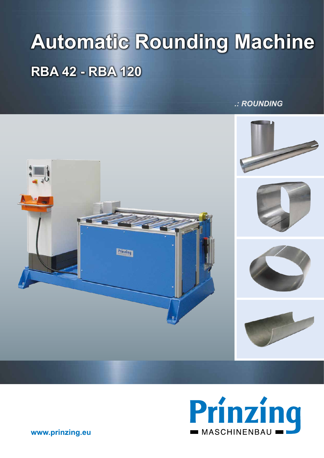# **Automatic Rounding Machine RBA 42 - RBA 120**

### *.: ROUNDING*





www.prinzing.eu